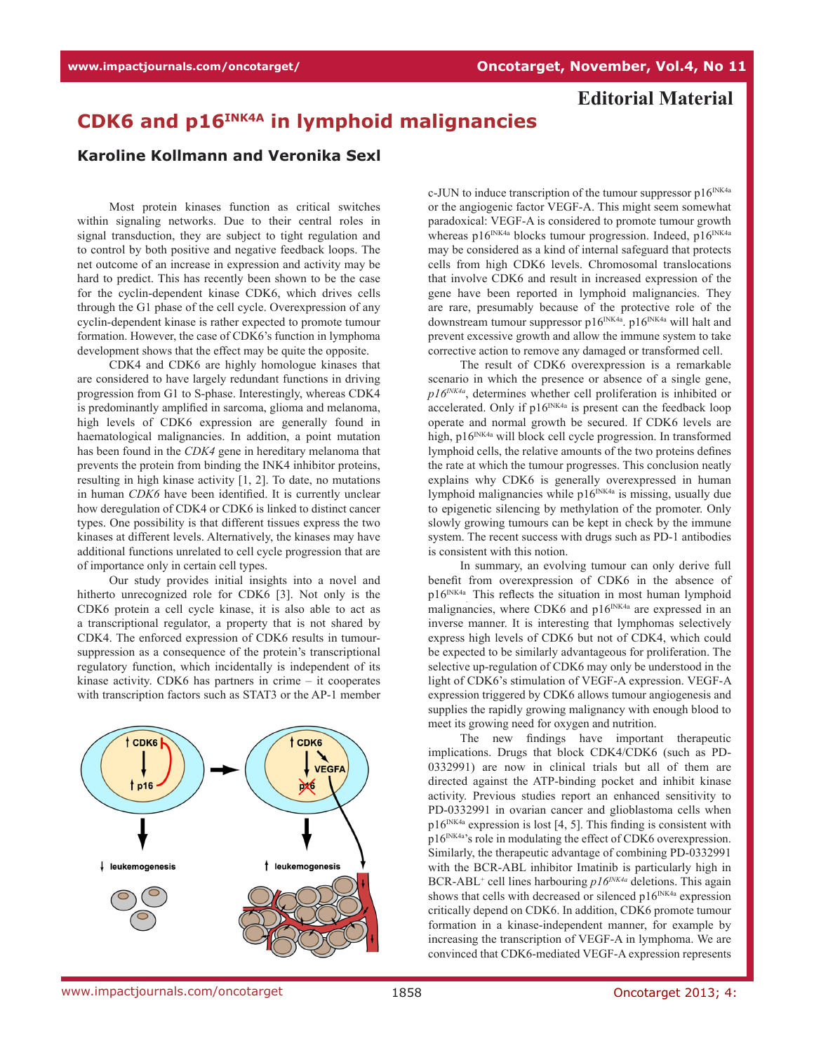## **Editorial Material**

## **CDK6 and p16INK4A in lymphoid malignancies**

## **Karoline Kollmann and Veronika Sexl**

Most protein kinases function as critical switches within signaling networks. Due to their central roles in signal transduction, they are subject to tight regulation and to control by both positive and negative feedback loops. The net outcome of an increase in expression and activity may be hard to predict. This has recently been shown to be the case for the cyclin-dependent kinase CDK6, which drives cells through the G1 phase of the cell cycle. Overexpression of any cyclin-dependent kinase is rather expected to promote tumour formation. However, the case of CDK6's function in lymphoma development shows that the effect may be quite the opposite.

CDK4 and CDK6 are highly homologue kinases that are considered to have largely redundant functions in driving progression from G1 to S-phase. Interestingly, whereas CDK4 is predominantly amplified in sarcoma, glioma and melanoma, high levels of CDK6 expression are generally found in haematological malignancies. In addition, a point mutation has been found in the *CDK4* gene in hereditary melanoma that prevents the protein from binding the INK4 inhibitor proteins, resulting in high kinase activity [1, 2]. To date, no mutations in human *CDK6* have been identified. It is currently unclear how deregulation of CDK4 or CDK6 is linked to distinct cancer types. One possibility is that different tissues express the two kinases at different levels. Alternatively, the kinases may have additional functions unrelated to cell cycle progression that are of importance only in certain cell types.

Our study provides initial insights into a novel and hitherto unrecognized role for CDK6 [3]. Not only is the CDK6 protein a cell cycle kinase, it is also able to act as a transcriptional regulator, a property that is not shared by CDK4. The enforced expression of CDK6 results in tumoursuppression as a consequence of the protein's transcriptional regulatory function, which incidentally is independent of its kinase activity. CDK6 has partners in crime – it cooperates with transcription factors such as STAT3 or the AP-1 member



c-JUN to induce transcription of the tumour suppressor  $p16^{INK4a}$ or the angiogenic factor VEGF-A. This might seem somewhat paradoxical: VEGF-A is considered to promote tumour growth whereas  $p16^{INK4a}$  blocks tumour progression. Indeed,  $p16^{INK4a}$ may be considered as a kind of internal safeguard that protects cells from high CDK6 levels. Chromosomal translocations that involve CDK6 and result in increased expression of the gene have been reported in lymphoid malignancies. They are rare, presumably because of the protective role of the downstream tumour suppressor p16<sup>INK4a</sup>. p16<sup>INK4a</sup> will halt and prevent excessive growth and allow the immune system to take corrective action to remove any damaged or transformed cell.

The result of CDK6 overexpression is a remarkable scenario in which the presence or absence of a single gene, *p16INK4a*, determines whether cell proliferation is inhibited or accelerated. Only if  $p16^{INK4a}$  is present can the feedback loop operate and normal growth be secured. If CDK6 levels are high, p16<sup>INK4a</sup> will block cell cycle progression. In transformed lymphoid cells, the relative amounts of the two proteins defines the rate at which the tumour progresses. This conclusion neatly explains why CDK6 is generally overexpressed in human lymphoid malignancies while  $p16^{INK4a}$  is missing, usually due to epigenetic silencing by methylation of the promoter. Only slowly growing tumours can be kept in check by the immune system. The recent success with drugs such as PD-1 antibodies is consistent with this notion.

In summary, an evolving tumour can only derive full benefit from overexpression of CDK6 in the absence of p16<sup>INK4a</sup> This reflects the situation in most human lymphoid malignancies, where CDK6 and  $p16^{INK4a}$  are expressed in an inverse manner. It is interesting that lymphomas selectively express high levels of CDK6 but not of CDK4, which could be expected to be similarly advantageous for proliferation. The selective up-regulation of CDK6 may only be understood in the light of CDK6's stimulation of VEGF-A expression. VEGF-A expression triggered by CDK6 allows tumour angiogenesis and supplies the rapidly growing malignancy with enough blood to meet its growing need for oxygen and nutrition.

The new findings have important therapeutic implications. Drugs that block CDK4/CDK6 (such as PD-0332991) are now in clinical trials but all of them are directed against the ATP-binding pocket and inhibit kinase activity. Previous studies report an enhanced sensitivity to PD-0332991 in ovarian cancer and glioblastoma cells when  $p16^{INK4a}$  expression is lost [4, 5]. This finding is consistent with p16<sup>INK4a</sup>'s role in modulating the effect of CDK6 overexpression. Similarly, the therapeutic advantage of combining PD-0332991 with the BCR-ABL inhibitor Imatinib is particularly high in BCR-ABL<sup>+</sup> cell lines harbouring *p16<sup>INK4a*</sup> deletions. This again shows that cells with decreased or silenced  $p16^{INK4a}$  expression critically depend on CDK6. In addition, CDK6 promote tumour formation in a kinase-independent manner, for example by increasing the transcription of VEGF-A in lymphoma. We are convinced that CDK6-mediated VEGF-A expression represents